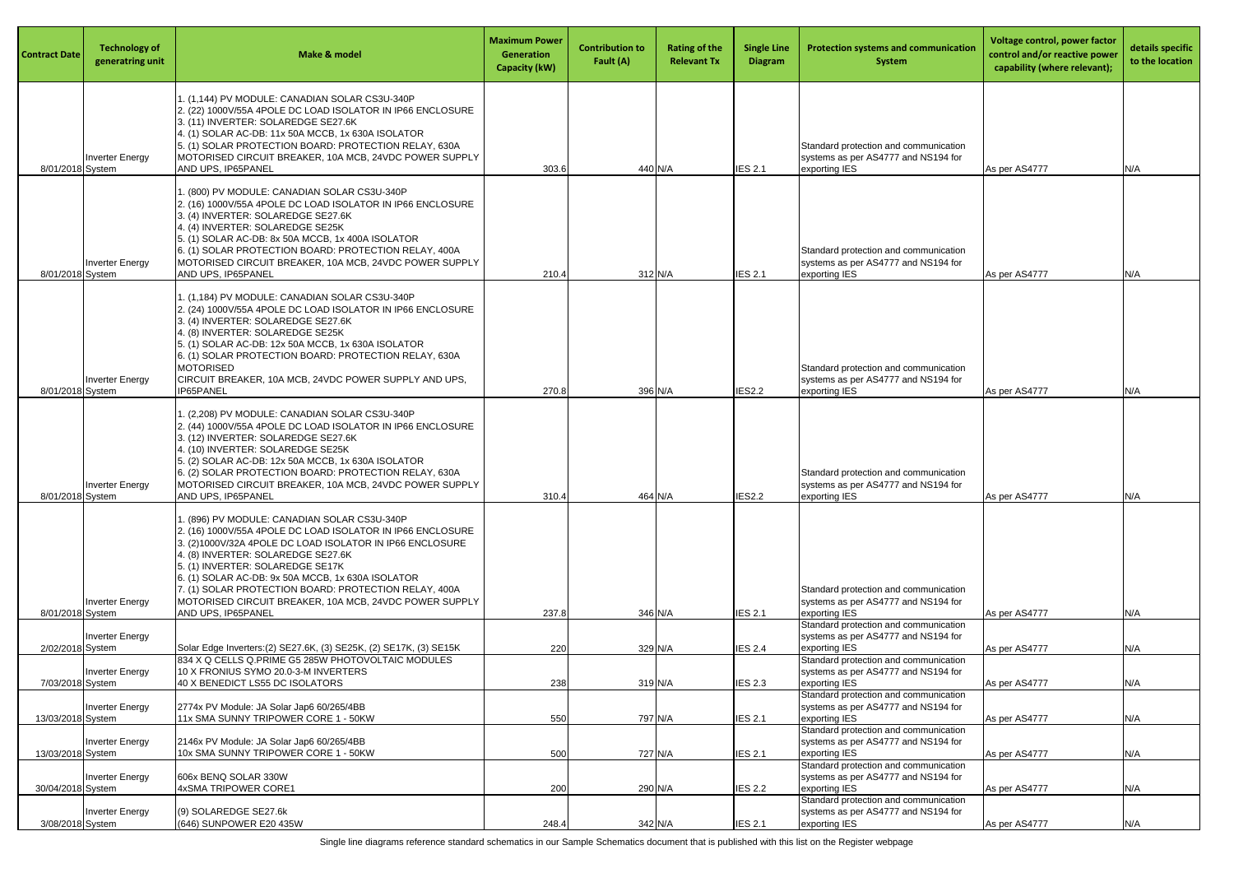| <b>Contract Date</b> | <b>Technology of</b><br>generatring unit | <b>Make &amp; model</b>                                                                                                                                                                                                                                                                                                                                                                                                                        | <b>Maximum Power</b><br>Generation<br><b>Capacity (kW)</b> | <b>Contribution to</b><br>Fault (A) | <b>Rating of the</b><br><b>Relevant Tx</b> | <b>Single Line</b><br><b>Diagram</b> | <b>Protection systems and communication</b><br>System                                                                                  | Voltage control, power factor<br>control and/or reactive power<br>capability (where relevant); | details specific<br>to the location |
|----------------------|------------------------------------------|------------------------------------------------------------------------------------------------------------------------------------------------------------------------------------------------------------------------------------------------------------------------------------------------------------------------------------------------------------------------------------------------------------------------------------------------|------------------------------------------------------------|-------------------------------------|--------------------------------------------|--------------------------------------|----------------------------------------------------------------------------------------------------------------------------------------|------------------------------------------------------------------------------------------------|-------------------------------------|
| 8/01/2018 System     | <b>Inverter Energy</b>                   | 1. (1,144) PV MODULE: CANADIAN SOLAR CS3U-340P<br>2. (22) 1000V/55A 4POLE DC LOAD ISOLATOR IN IP66 ENCLOSURE<br>3. (11) INVERTER: SOLAREDGE SE27.6K<br>4. (1) SOLAR AC-DB: 11x 50A MCCB, 1x 630A ISOLATOR<br>5. (1) SOLAR PROTECTION BOARD: PROTECTION RELAY, 630A<br>MOTORISED CIRCUIT BREAKER, 10A MCB, 24VDC POWER SUPPLY<br>AND UPS, IP65PANEL                                                                                             | 303.6                                                      | 440 N/A                             |                                            | <b>IES 2.1</b>                       | Standard protection and communication<br>systems as per AS4777 and NS194 for<br>exporting IES                                          | As per AS4777                                                                                  | N/A                                 |
| 8/01/2018 System     | <b>Inverter Energy</b>                   | . (800) PV MODULE: CANADIAN SOLAR CS3U-340P<br>2. (16) 1000V/55A 4POLE DC LOAD ISOLATOR IN IP66 ENCLOSURE<br>3. (4) INVERTER: SOLAREDGE SE27.6K<br>4. (4) INVERTER: SOLAREDGE SE25K<br>5. (1) SOLAR AC-DB: 8x 50A MCCB, 1x 400A ISOLATOR<br>6. (1) SOLAR PROTECTION BOARD: PROTECTION RELAY, 400A<br>MOTORISED CIRCUIT BREAKER, 10A MCB, 24VDC POWER SUPPLY<br>AND UPS, IP65PANEL                                                              | 210.                                                       | 312 N/A                             |                                            | <b>IES 2.1</b>                       | Standard protection and communication<br>systems as per AS4777 and NS194 for<br>exporting IES                                          | As per AS4777                                                                                  | N/A                                 |
| 8/01/2018 System     | <b>Inverter Energy</b>                   | 1. (1,184) PV MODULE: CANADIAN SOLAR CS3U-340P<br>2. (24) 1000V/55A 4POLE DC LOAD ISOLATOR IN IP66 ENCLOSURE<br>3. (4) INVERTER: SOLAREDGE SE27.6K<br>4. (8) INVERTER: SOLAREDGE SE25K<br>5. (1) SOLAR AC-DB: 12x 50A MCCB, 1x 630A ISOLATOR<br>6. (1) SOLAR PROTECTION BOARD: PROTECTION RELAY, 630A<br><b>MOTORISED</b><br>CIRCUIT BREAKER, 10A MCB, 24VDC POWER SUPPLY AND UPS,<br>IP65PANEL                                                | 270.8                                                      | 396 N/A                             |                                            | <b>IES2.2</b>                        | Standard protection and communication<br>systems as per AS4777 and NS194 for<br>exporting IES                                          | As per AS4777                                                                                  | N/A                                 |
| 8/01/2018 System     | <b>Inverter Energy</b>                   | I. (2,208) PV MODULE: CANADIAN SOLAR CS3U-340P<br>2. (44) 1000V/55A 4POLE DC LOAD ISOLATOR IN IP66 ENCLOSURE<br>3. (12) INVERTER: SOLAREDGE SE27.6K<br>4. (10) INVERTER: SOLAREDGE SE25K<br>5. (2) SOLAR AC-DB: 12x 50A MCCB, 1x 630A ISOLATOR<br>6. (2) SOLAR PROTECTION BOARD: PROTECTION RELAY, 630A<br>MOTORISED CIRCUIT BREAKER, 10A MCB, 24VDC POWER SUPPLY<br>AND UPS, IP65PANEL                                                        | 310.4                                                      | 464 N/A                             |                                            | <b>IES2.2</b>                        | Standard protection and communication<br>systems as per AS4777 and NS194 for<br>exporting IES                                          | As per AS4777                                                                                  | N/A                                 |
| 8/01/2018 System     | <b>Inverter Energy</b>                   | 1. (896) PV MODULE: CANADIAN SOLAR CS3U-340P<br>2. (16) 1000V/55A 4POLE DC LOAD ISOLATOR IN IP66 ENCLOSURE<br>3. (2)1000V/32A 4POLE DC LOAD ISOLATOR IN IP66 ENCLOSURE<br>4. (8) INVERTER: SOLAREDGE SE27.6K<br>5. (1) INVERTER: SOLAREDGE SE17K<br>6. (1) SOLAR AC-DB: 9x 50A MCCB, 1x 630A ISOLATOR<br>7. (1) SOLAR PROTECTION BOARD: PROTECTION RELAY, 400A<br>MOTORISED CIRCUIT BREAKER, 10A MCB, 24VDC POWER SUPPLY<br>AND UPS, IP65PANEL | 237.8                                                      | 346 N/A                             |                                            | <b>IES 2.1</b>                       | Standard protection and communication<br>systems as per AS4777 and NS194 for<br>exporting IES                                          | As per AS4777                                                                                  | N/A                                 |
| 2/02/2018 System     | <b>Inverter Energy</b>                   | Solar Edge Inverters: (2) SE27.6K, (3) SE25K, (2) SE17K, (3) SE15K<br>834 X Q CELLS Q.PRIME G5 285W PHOTOVOLTAIC MODULES                                                                                                                                                                                                                                                                                                                       | 220                                                        | 329 N/A                             |                                            | <b>IES 2.4</b>                       | Standard protection and communication<br>systems as per AS4777 and NS194 for<br>exporting IES<br>Standard protection and communication | As per AS4777                                                                                  | N/A                                 |
| 7/03/2018 System     | <b>Inverter Energy</b>                   | 10 X FRONIUS SYMO 20.0-3-M INVERTERS<br>40 X BENEDICT LS55 DC ISOLATORS                                                                                                                                                                                                                                                                                                                                                                        | 238                                                        | 319 N/A                             |                                            | <b>IES 2.3</b>                       | systems as per AS4777 and NS194 for<br>exporting IES<br>Standard protection and communication                                          | As per AS4777                                                                                  | N/A                                 |
| 13/03/2018 System    | <b>Inverter Energy</b>                   | 2774x PV Module: JA Solar Jap6 60/265/4BB<br>11x SMA SUNNY TRIPOWER CORE 1 - 50KW                                                                                                                                                                                                                                                                                                                                                              | 550                                                        | 797 N/A                             |                                            | <b>IES 2.1</b>                       | systems as per AS4777 and NS194 for<br>exporting IES<br>Standard protection and communication                                          | As per AS4777                                                                                  | N/A                                 |
| 13/03/2018 System    | <b>Inverter Energy</b>                   | 2146x PV Module: JA Solar Jap6 60/265/4BB<br>10x SMA SUNNY TRIPOWER CORE 1 - 50KW                                                                                                                                                                                                                                                                                                                                                              | 500                                                        | 727 N/A                             |                                            | <b>IES 2.1</b>                       | systems as per AS4777 and NS194 for<br>exporting IES<br>Standard protection and communication                                          | As per AS4777                                                                                  | N/A                                 |
| 30/04/2018 System    | <b>Inverter Energy</b>                   | 606x BENQ SOLAR 330W<br>4xSMA TRIPOWER CORE1                                                                                                                                                                                                                                                                                                                                                                                                   | 200                                                        | 290 N/A                             |                                            | <b>IES 2.2</b>                       | systems as per AS4777 and NS194 for<br>exporting IES<br>Standard protection and communication                                          | As per AS4777                                                                                  | N/A                                 |
| 3/08/2018 System     | <b>Inverter Energy</b>                   | $(9)$ SOLAREDGE SE27.6k<br>(646) SUNPOWER E20 435W                                                                                                                                                                                                                                                                                                                                                                                             | 248.4                                                      | 342 N/A                             |                                            | <b>IES 2.1</b>                       | systems as per AS4777 and NS194 for<br>exporting IES                                                                                   | As per AS4777                                                                                  | N/A                                 |

Single line diagrams reference standard schematics in our Sample Schematics document that is published with this list on the Register webpage